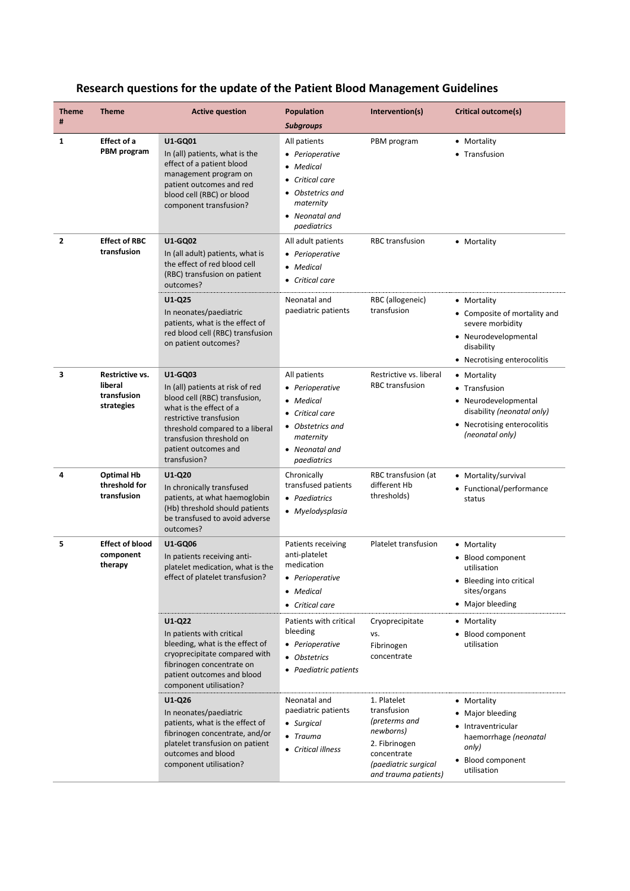| <b>Theme</b><br>#                                     | <b>Theme</b>                                            | <b>Active question</b>                                                                                                                                                                                                                                       | <b>Population</b><br><b>Subgroups</b>                                                                                                                                                                  | Intervention(s)                                                                                                                          | Critical outcome(s)                                                                                                                                                |
|-------------------------------------------------------|---------------------------------------------------------|--------------------------------------------------------------------------------------------------------------------------------------------------------------------------------------------------------------------------------------------------------------|--------------------------------------------------------------------------------------------------------------------------------------------------------------------------------------------------------|------------------------------------------------------------------------------------------------------------------------------------------|--------------------------------------------------------------------------------------------------------------------------------------------------------------------|
| $\mathbf{1}$                                          | <b>Effect of a</b><br><b>PBM</b> program                | U1-GQ01<br>In (all) patients, what is the<br>effect of a patient blood<br>management program on<br>patient outcomes and red<br>blood cell (RBC) or blood<br>component transfusion?                                                                           | All patients<br>• Perioperative<br>• Medical<br>Critical care<br>• Obstetrics and<br>maternity<br>• Neonatal and<br>paediatrics                                                                        | PBM program                                                                                                                              | • Mortality<br>• Transfusion                                                                                                                                       |
| <b>Effect of RBC</b><br>$\overline{2}$<br>transfusion |                                                         | <b>U1-GQ02</b><br>In (all adult) patients, what is<br>the effect of red blood cell<br>(RBC) transfusion on patient<br>outcomes?                                                                                                                              | All adult patients<br>• Perioperative<br>• Medical<br>• Critical care                                                                                                                                  | <b>RBC</b> transfusion                                                                                                                   | • Mortality                                                                                                                                                        |
|                                                       |                                                         | U1-Q25<br>In neonates/paediatric<br>patients, what is the effect of<br>red blood cell (RBC) transfusion<br>on patient outcomes?                                                                                                                              | Neonatal and<br>paediatric patients                                                                                                                                                                    | RBC (allogeneic)<br>transfusion                                                                                                          | • Mortality<br>• Composite of mortality and<br>severe morbidity<br>• Neurodevelopmental<br>disability<br>• Necrotising enterocolitis                               |
| 3                                                     | Restrictive vs.<br>liberal<br>transfusion<br>strategies | U1-GQ03<br>In (all) patients at risk of red<br>blood cell (RBC) transfusion,<br>what is the effect of a<br>restrictive transfusion<br>threshold compared to a liberal<br>transfusion threshold on<br>patient outcomes and<br>transfusion?                    | All patients<br>• Perioperative<br>• Medical<br>• Critical care<br>• Obstetrics and<br>maternity<br>• Neonatal and<br>paediatrics                                                                      | Restrictive vs. liberal<br><b>RBC</b> transfusion                                                                                        | • Mortality<br>• Transfusion<br>• Neurodevelopmental<br>disability (neonatal only)<br>• Necrotising enterocolitis<br>(neonatal only)                               |
| 4                                                     | <b>Optimal Hb</b><br>threshold for<br>transfusion       | $U1-Q20$<br>In chronically transfused<br>patients, at what haemoglobin<br>(Hb) threshold should patients<br>be transfused to avoid adverse<br>outcomes?                                                                                                      | Chronically<br>transfused patients<br>• Paediatrics<br>• Myelodysplasia                                                                                                                                | RBC transfusion (at<br>different Hb<br>thresholds)                                                                                       | • Mortality/survival<br>• Functional/performance<br>status                                                                                                         |
| 5                                                     | <b>Effect of blood</b><br>component<br>therapy          | <b>U1-GQ06</b><br>In patients receiving anti-<br>platelet medication, what is the<br>effect of platelet transfusion?<br>U1-Q22<br>In patients with critical<br>bleeding, what is the effect of<br>cryoprecipitate compared with<br>fibrinogen concentrate on | Patients receiving<br>anti-platelet<br>medication<br>• Perioperative<br>• Medical<br>• Critical care<br>Patients with critical<br>bleeding<br>• Perioperative<br>• Obstetrics<br>• Paediatric patients | Platelet transfusion<br>Cryoprecipitate<br>VS.<br>Fibrinogen<br>concentrate                                                              | • Mortality<br>• Blood component<br>utilisation<br>• Bleeding into critical<br>sites/organs<br>• Major bleeding<br>• Mortality<br>• Blood component<br>utilisation |
|                                                       |                                                         | patient outcomes and blood<br>component utilisation?<br>U1-Q26<br>In neonates/paediatric<br>patients, what is the effect of<br>fibrinogen concentrate, and/or<br>platelet transfusion on patient<br>outcomes and blood<br>component utilisation?             | Neonatal and<br>paediatric patients<br>• Surgical<br>$\bullet$ Trauma<br>• Critical illness                                                                                                            | 1. Platelet<br>transfusion<br>(preterms and<br>newborns)<br>2. Fibrinogen<br>concentrate<br>(paediatric surgical<br>and trauma patients) | • Mortality<br>• Major bleeding<br>• Intraventricular<br>haemorrhage (neonatal<br>only)<br>• Blood component<br>utilisation                                        |

## **Research questions for the update of the Patient Blood Management Guidelines**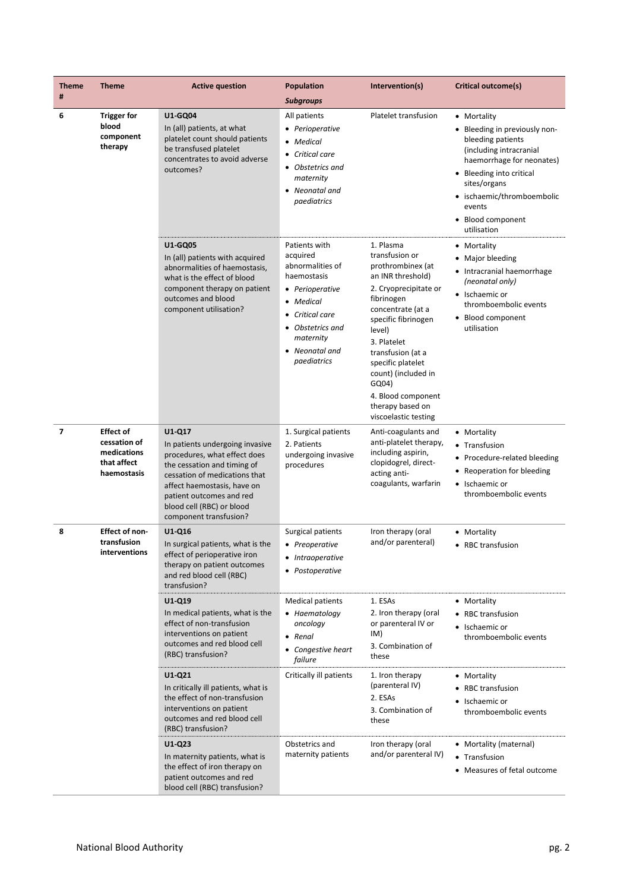| <b>Theme</b><br># | <b>Theme</b>                                                                  | <b>Active question</b>                                                                                                                                                                                                                                      | <b>Population</b>                                                                                                                                                                 | Intervention(s)                                                                                                                                                                                                                                                                                                               | Critical outcome(s)                                                                                                                                                                                                                               |
|-------------------|-------------------------------------------------------------------------------|-------------------------------------------------------------------------------------------------------------------------------------------------------------------------------------------------------------------------------------------------------------|-----------------------------------------------------------------------------------------------------------------------------------------------------------------------------------|-------------------------------------------------------------------------------------------------------------------------------------------------------------------------------------------------------------------------------------------------------------------------------------------------------------------------------|---------------------------------------------------------------------------------------------------------------------------------------------------------------------------------------------------------------------------------------------------|
|                   |                                                                               |                                                                                                                                                                                                                                                             | <b>Subgroups</b>                                                                                                                                                                  |                                                                                                                                                                                                                                                                                                                               |                                                                                                                                                                                                                                                   |
| 6                 | <b>Trigger for</b><br>blood<br>component<br>therapy                           | U1-GQ04<br>In (all) patients, at what<br>platelet count should patients<br>be transfused platelet<br>concentrates to avoid adverse<br>outcomes?                                                                                                             | All patients<br>• Perioperative<br>• Medical<br>• Critical care<br>• Obstetrics and<br>maternity<br>• Neonatal and<br>paediatrics                                                 | Platelet transfusion                                                                                                                                                                                                                                                                                                          | • Mortality<br>• Bleeding in previously non-<br>bleeding patients<br>(including intracranial<br>haemorrhage for neonates)<br>• Bleeding into critical<br>sites/organs<br>· ischaemic/thromboembolic<br>events<br>• Blood component<br>utilisation |
|                   |                                                                               | <b>U1-GQ05</b><br>In (all) patients with acquired<br>abnormalities of haemostasis,<br>what is the effect of blood<br>component therapy on patient<br>outcomes and blood<br>component utilisation?                                                           | Patients with<br>acquired<br>abnormalities of<br>haemostasis<br>• Perioperative<br>• Medical<br>• Critical care<br>• Obstetrics and<br>maternity<br>• Neonatal and<br>paediatrics | 1. Plasma<br>transfusion or<br>prothrombinex (at<br>an INR threshold)<br>2. Cryoprecipitate or<br>fibrinogen<br>concentrate (at a<br>specific fibrinogen<br>level)<br>3. Platelet<br>transfusion (at a<br>specific platelet<br>count) (included in<br>GQ04)<br>4. Blood component<br>therapy based on<br>viscoelastic testing | • Mortality<br>• Major bleeding<br>• Intracranial haemorrhage<br>(neonatal only)<br>• Ischaemic or<br>thromboembolic events<br>• Blood component<br>utilisation                                                                                   |
| $\overline{7}$    | <b>Effect of</b><br>cessation of<br>medications<br>that affect<br>haemostasis | U1-Q17<br>In patients undergoing invasive<br>procedures, what effect does<br>the cessation and timing of<br>cessation of medications that<br>affect haemostasis, have on<br>patient outcomes and red<br>blood cell (RBC) or blood<br>component transfusion? | 1. Surgical patients<br>2. Patients<br>undergoing invasive<br>procedures                                                                                                          | Anti-coagulants and<br>anti-platelet therapy,<br>including aspirin,<br>clopidogrel, direct-<br>acting anti-<br>coagulants, warfarin                                                                                                                                                                                           | • Mortality<br>• Transfusion<br>• Procedure-related bleeding<br>• Reoperation for bleeding<br>• Ischaemic or<br>thromboembolic events                                                                                                             |
| 8                 | <b>Effect of non-</b><br>transfusion<br>interventions                         | U1-Q16<br>In surgical patients, what is the<br>effect of perioperative iron<br>therapy on patient outcomes<br>and red blood cell (RBC)<br>transfusion?                                                                                                      | Surgical patients<br>• Preoperative<br>• Intraoperative<br>• Postoperative                                                                                                        | Iron therapy (oral<br>and/or parenteral)                                                                                                                                                                                                                                                                                      | • Mortality<br>• RBC transfusion                                                                                                                                                                                                                  |
|                   |                                                                               | $U1-Q19$<br>In medical patients, what is the<br>effect of non-transfusion<br>interventions on patient<br>outcomes and red blood cell<br>(RBC) transfusion?                                                                                                  | <b>Medical patients</b><br>• Haematology<br>oncology<br>• Renal<br>• Congestive heart<br>failure                                                                                  | 1. ESAs<br>2. Iron therapy (oral<br>or parenteral IV or<br>IM)<br>3. Combination of<br>these                                                                                                                                                                                                                                  | • Mortality<br>• RBC transfusion<br>• Ischaemic or<br>thromboembolic events                                                                                                                                                                       |
|                   |                                                                               | U1-Q21<br>In critically ill patients, what is<br>the effect of non-transfusion<br>interventions on patient<br>outcomes and red blood cell<br>(RBC) transfusion?                                                                                             | Critically ill patients                                                                                                                                                           | 1. Iron therapy<br>(parenteral IV)<br>2. ESAs<br>3. Combination of<br>these                                                                                                                                                                                                                                                   | • Mortality<br>• RBC transfusion<br>• Ischaemic or<br>thromboembolic events                                                                                                                                                                       |
|                   |                                                                               | $U1-Q23$<br>In maternity patients, what is<br>the effect of iron therapy on<br>patient outcomes and red<br>blood cell (RBC) transfusion?                                                                                                                    | Obstetrics and<br>maternity patients                                                                                                                                              | Iron therapy (oral<br>and/or parenteral IV)                                                                                                                                                                                                                                                                                   | • Mortality (maternal)<br>• Transfusion<br>• Measures of fetal outcome                                                                                                                                                                            |